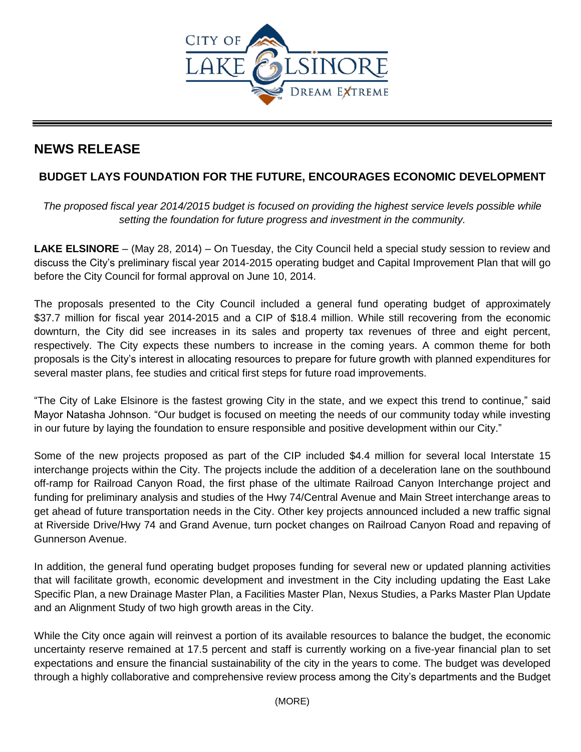

## **NEWS RELEASE**

## **BUDGET LAYS FOUNDATION FOR THE FUTURE, ENCOURAGES ECONOMIC DEVELOPMENT**

*The proposed fiscal year 2014/2015 budget is focused on providing the highest service levels possible while setting the foundation for future progress and investment in the community.* 

**LAKE ELSINORE** – (May 28, 2014) – On Tuesday, the City Council held a special study session to review and discuss the City's preliminary fiscal year 2014-2015 operating budget and Capital Improvement Plan that will go before the City Council for formal approval on June 10, 2014.

The proposals presented to the City Council included a general fund operating budget of approximately \$37.7 million for fiscal year 2014-2015 and a CIP of \$18.4 million. While still recovering from the economic downturn, the City did see increases in its sales and property tax revenues of three and eight percent, respectively. The City expects these numbers to increase in the coming years. A common theme for both proposals is the City's interest in allocating resources to prepare for future growth with planned expenditures for several master plans, fee studies and critical first steps for future road improvements.

"The City of Lake Elsinore is the fastest growing City in the state, and we expect this trend to continue," said Mayor Natasha Johnson. "Our budget is focused on meeting the needs of our community today while investing in our future by laying the foundation to ensure responsible and positive development within our City."

Some of the new projects proposed as part of the CIP included \$4.4 million for several local Interstate 15 interchange projects within the City. The projects include the addition of a deceleration lane on the southbound off-ramp for Railroad Canyon Road, the first phase of the ultimate Railroad Canyon Interchange project and funding for preliminary analysis and studies of the Hwy 74/Central Avenue and Main Street interchange areas to get ahead of future transportation needs in the City. Other key projects announced included a new traffic signal at Riverside Drive/Hwy 74 and Grand Avenue, turn pocket changes on Railroad Canyon Road and repaving of Gunnerson Avenue.

In addition, the general fund operating budget proposes funding for several new or updated planning activities that will facilitate growth, economic development and investment in the City including updating the East Lake Specific Plan, a new Drainage Master Plan, a Facilities Master Plan, Nexus Studies, a Parks Master Plan Update and an Alignment Study of two high growth areas in the City.

While the City once again will reinvest a portion of its available resources to balance the budget, the economic uncertainty reserve remained at 17.5 percent and staff is currently working on a five-year financial plan to set expectations and ensure the financial sustainability of the city in the years to come. The budget was developed through a highly collaborative and comprehensive review process among the City's departments and the Budget